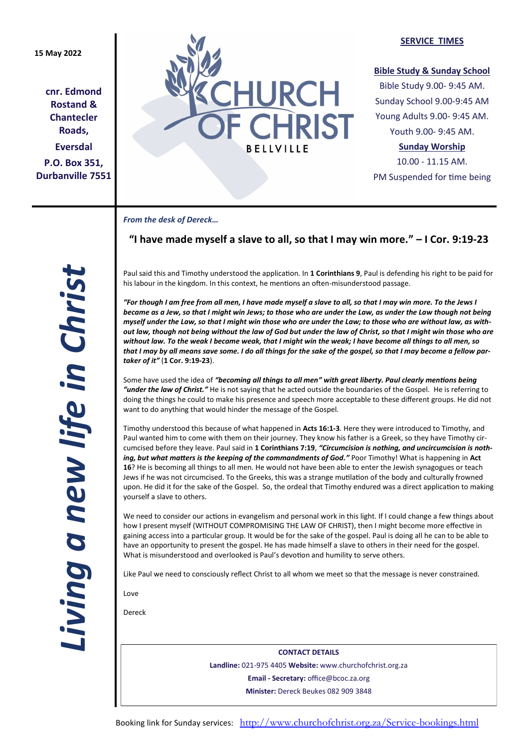# **15 May 2022**

**cnr. Edmond Rostand & Chantecler Roads, Eversdal P.O. Box 351, Durbanville 7551**



### **SERVICE TIMES**

# **Bible Study & Sunday School**

Bible Study 9.00- 9:45 AM. Sunday School 9.00-9:45 AM Young Adults 9.00- 9:45 AM. Youth 9.00- 9:45 AM.

# **Sunday Worship**

10.00 - 11.15 AM. PM Suspended for time being

### *From the desk of Dereck…*

# **"I have made myself a slave to all, so that I may win more." – I Cor. 9:19-23**

Paul said this and Timothy understood the application. In **1 Corinthians 9**, Paul is defending his right to be paid for his labour in the kingdom. In this context, he mentions an often-misunderstood passage.

*"For though I am free from all men, I have made myself a slave to all, so that I may win more. To the Jews I became as a Jew, so that I might win Jews; to those who are under the Law, as under the Law though not being myself under the Law, so that I might win those who are under the Law; to those who are without law, as without law, though not being without the law of God but under the law of Christ, so that I might win those who are without law. To the weak I became weak, that I might win the weak; I have become all things to all men, so that I may by all means save some. I do all things for the sake of the gospel, so that I may become a fellow partaker of it"* (**1 Cor. 9:19-23**).

Some have used the idea of *"becoming all things to all men" with great liberty. Paul clearly mentions being "under the law of Christ."* He is not saying that he acted outside the boundaries of the Gospel. He is referring to doing the things he could to make his presence and speech more acceptable to these different groups. He did not want to do anything that would hinder the message of the Gospel.

Timothy understood this because of what happened in **Acts 16:1-3**. Here they were introduced to Timothy, and Paul wanted him to come with them on their journey. They know his father is a Greek, so they have Timothy circumcised before they leave. Paul said in **1 Corinthians 7:19**, *"Circumcision is nothing, and uncircumcision is nothing, but what matters is the keeping of the commandments of God."* Poor Timothy! What is happening in **Act 16**? He is becoming all things to all men. He would not have been able to enter the Jewish synagogues or teach Jews if he was not circumcised. To the Greeks, this was a strange mutilation of the body and culturally frowned upon. He did it for the sake of the Gospel. So, the ordeal that Timothy endured was a direct application to making yourself a slave to others.

We need to consider our actions in evangelism and personal work in this light. If I could change a few things about how I present myself (WITHOUT COMPROMISING THE LAW OF CHRIST), then I might become more effective in gaining access into a particular group. It would be for the sake of the gospel. Paul is doing all he can to be able to have an opportunity to present the gospel. He has made himself a slave to others in their need for the gospel. What is misunderstood and overlooked is Paul's devotion and humility to serve others.

Like Paul we need to consciously reflect Christ to all whom we meet so that the message is never constrained.

Love

Dereck

**CONTACT DETAILS Landline:** 021-975 4405 **Website:** www.churchofchrist.org.za **Email - Secretary:** office@bcoc.za.org **Minister:** Dereck Beukes 082 909 3848